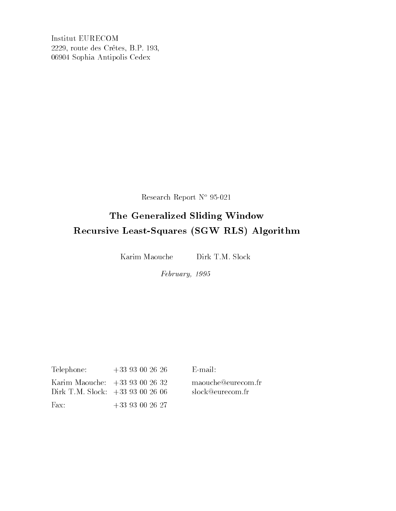Institut EURECOM 2229, route des Cr^etes, B.P. 193, 06904 Sophia Antipolis Cedex

Research Report N° 95-021

## The Generalized Sliding Window Recursive Least-Squares (SGW RLS) Algorithm

Karim Maouche Dirk T.M. Slock

February, 1995

| Telephone:                     | $+33$ 93 00 26 26 |
|--------------------------------|-------------------|
| Karim Maouche: $+3393002632$   |                   |
| Dirk T.M. Slock: $+3393002606$ |                   |
| $\text{Fax:}$                  | $+33$ 93 00 26 27 |

maouche@eurecom.fr slock@eurecom.fr

E-mail: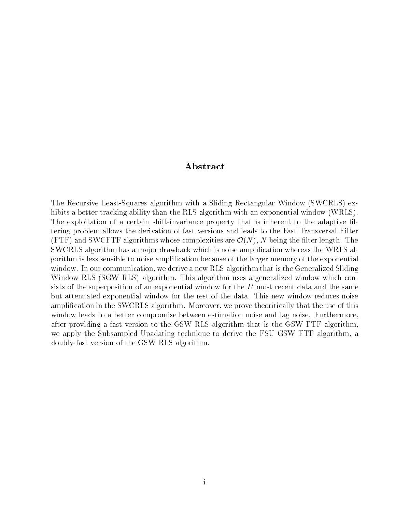#### ${\bf Abstract}$

The Recursive Least-Squares algorithm with a Sliding Rectangular Window (SWCRLS) exhibits a better tracking ability than the RLS algorithm with an exponential window (WRLS). The exploitation of a certain shift-invariance property that is inherent to the adaptive filtering problem allows the derivation of fast versions and leads to the Fast Transversal Filter (FTF) and SWCFTF algorithms whose complexities are  $\mathcal{O}(N)$ , N being the filter length. The SWCRLS algorithm has a ma jor drawback which is noise amplication whereas the WRLS algorithm is less sensible to noise amplication because of the larger memory of the exponential window. In our communication, we derive a new RLS algorithm that is the Generalized Sliding Window RLS (SGW RLS) algorithm. This algorithm uses a generalized window which consists of the superposition of an exponential window for the  $L'$  most recent data and the same but attenuated exponential window for the rest of the data. This new window reduces noise amplication in the SWCRLS algorithm. Moreover, we prove theoritically that the use of this window leads to a better compromise between estimation noise and lag noise. Furthermore, after providing a fast version to the GSW RLS algorithm that is the GSW FTF algorithm, we apply the Subsampled-Upadating technique to derive the FSU GSW FTF algorithm, a doubly-fast version of the GSW RLS algorithm.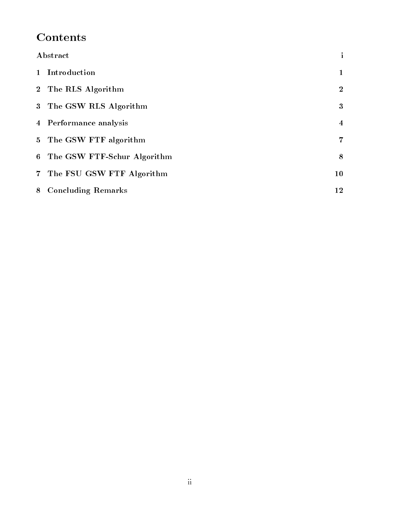# **Contents**

| Abstract                      | $\mathbf{1}$            |  |
|-------------------------------|-------------------------|--|
| 1 Introduction                | 1                       |  |
| 2 The RLS Algorithm           | $\overline{2}$          |  |
| 3 The GSW RLS Algorithm       | 3                       |  |
| 4 Performance analysis        | $\overline{\mathbf{4}}$ |  |
| 5 The GSW FTF algorithm       | 7                       |  |
| 6 The GSW FTF-Schur Algorithm | 8                       |  |
| 7 The FSU GSW FTF Algorithm   | 10                      |  |
| 8 Concluding Remarks          | 12                      |  |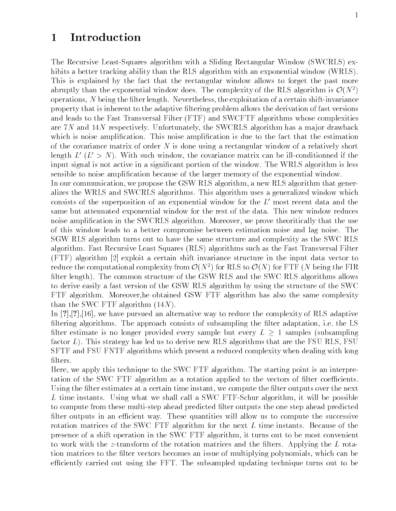### 1 Introduction

The Recursive Least-Squares algorithm with a Sliding Rectangular Window (SWCRLS) exhibits a better tracking ability than the RLS algorithm with an exponential window (WRLS). This is explained by the fact that the rectangular window allows to forget the past more abruptly than the exponential window does. The complexity of the RLS algorithm is  $\mathcal{O}(N^2)$ operations, N being the filter length. Nevertheless, the exploitation of a certain shift-invariance property that is inherent to the adaptive ltering problem allows the derivation of fast versions and leads to the Fast Transversal Filter (FTF) and SWCFTF algorithms whose complexities are 7N and 14N respectively. Unfortunately, the SWCRLS algorithm has a major drawback which is noise amplication. This noise amplication is due to the fact that the estimation of the covariance matrix of order  $N$  is done using a rectangular window of a relatively short length  $L'(L' > N)$ . With such window, the covariance matrix can be ill-conditionned if the input signal is not active in a signicant portion of the window. The WRLS algorithm is less sensible to noise amplication because of the larger memory of the exponential window.

In our communication, we propose the GSW RLS algorithm, a new RLS algorithm that generalizes the WRLS and SWCRLS algorithms. This algorithm uses a generalized window which consists of the superposition of an exponential window for the  $L'$  most recent data and the same but attenuated exponential window for the rest of the data. This new window reduces noise amplication in the SWCRLS algorithm. Moreover, we prove theoritically that the use of this window leads to a better compromise between estimation noise and lag noise. The SGW RLS algorithm turns out to have the same structure and complexity as the SWC RLS algorithm. Fast Recursive Least Squares (RLS) algorithms such as the Fast Transversal Filter (FTF) algorithm [2] exploit a certain shift invariance structure in the input data vector to reduce the computational complexity from  $\mathcal{O}(N^2)$  for RLS to  $\mathcal{O}(N)$  for FTF (N being the FIR filter length). The common structure of the GSW RLS and the SWC RLS algorithms allows to derive easily a fast version of the GSW RLS algorithm by using the structure of the SWC FTF algorithm. Moreover,he obtained GSW FTF algorithm has also the same complexity than the SWC FTF algorithm (14N).

In [?],[?],[16], we have pursued an alternative way to reduce the complexity of RLS adaptive filtering algorithms. The approach consists of subsampling the filter adaptation, i.e. the LS filter estimate is no longer provided every sample but every  $L \geq 1$  samples (subsampling factor L). This strategy has led us to derive new RLS algorithms that are the FSU RLS, FSU SFTF and FSU FNTF algorithms which present a reduced complexity when dealing with long  $\operatorname{filters}.$ 

Here, we apply this technique to the SWC FTF algorithm. The starting point is an interpretation of the SWC FTF algorithm as a rotation applied to the vectors of filter coefficients Using the filter estimates at a certain time instant, we compute the filter outputs over the next L time instants. Using what we shall call a SWC FTF-Schur algorithm, it will be possible to compute from these multi-step ahead predicted lter outputs the one step ahead predicted filter outputs in an efficient way. These quantities will allow us to compute the successive rotation matrices of the SWC FTF algorithm for the next L time instants. Because of the presence of a shift operation in the SWC FTF algorithm, it turns out to be most convenient to work with the z-transform of the rotation matrices and the filters. Applying the  $L$  rotation matrices to the filter vectors becomes an issue of multiplying polynomials, which can be efficiently carried out using the FFT. The subsampled updating technique turns out to be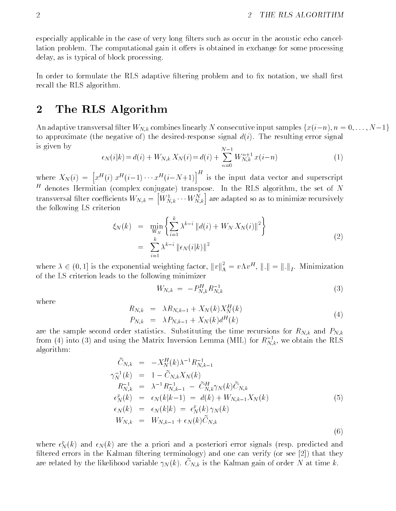especially applicable in the case of very long filters such as occur in the acoustic echo cancellation problem. The computational gain it offers is obtained in exchange for some processing delay, as is typical of block processing.

In order to formulate the RLS adaptive filtering problem and to fix notation, we shall first recall the RLS algorithm.

#### 2 The RLS Algorithm

An adaptive transversal filter  $W_{N,k}$  combines linearly N consecutive input samples  $\{x(i-n), n = 0, \ldots, N-1\}$ to approximate (the negative of) the desired-response signal  $d(i)$ . The resulting error signal is given by

$$
\epsilon_N(i|k) = d(i) + W_{N,k} X_N(i) = d(i) + \sum_{n=0}^{N-1} W_{N,k}^{n+1} x(i-n)
$$
\n(1)

where  $X_N(i) = \left[ x^H(i) x^H(i-1) \cdots x^H(i-N+1) \right]^T$  is the input data vector and superscript  $\tau$  denotes Hermitian (complex conjugate) transpose. In the RLS algorithm, the set of  $N$ transversal filter coefficients  $W_{N,k} = \left[W^1_{N,k} \cdots W^N_{N,k}\right]$  are adapted so as to minimize recursively the following LS criterion

$$
\xi_N(k) = \min_{W_N} \left\{ \sum_{i=1}^k \lambda^{k-i} \| d(i) + W_N X_N(i) \|^2 \right\} \n= \sum_{i=1}^k \lambda^{k-i} \| \epsilon_N(i|k) \|^2
$$
\n(2)

where  $\lambda \in (0,1]$  is the exponential weighting factor,  $||v||^2_{\Lambda} = v \Lambda v^H$ ,  $||.|| = ||.||_I$ . Minimization of the LS criterion leads to the following minimizer

$$
W_{N,k} = -P_{N,k}^H R_{N,k}^{-1}
$$
\n(3)

(6)

where

$$
R_{N,k} = \lambda R_{N,k-1} + X_N(k) X_N^H(k)
$$
  
\n
$$
P_{N,k} = \lambda P_{N,k-1} + X_N(k) d^H(k)
$$
\n(4)

are the sample second order statistics. Substituting the time recursions for  $R_{N,k}$  and  $P_{N,k}$ from (4) into (3) and using the Matrix Inversion Lemma (MIL) for  $K_{N,k}$ , we obtain the RLS algorithm:

$$
\begin{aligned}\n\tilde{C}_{N,k} &= -X_N^H(k)\lambda^{-1} R_{N,k-1}^{-1} \\
\gamma_N^{-1}(k) &= 1 - \tilde{C}_{N,k} X_N(k) \\
R_{N,k}^{-1} &= \lambda^{-1} R_{N,k-1}^{-1} - \tilde{C}_{N,k}^H \gamma_N(k) \tilde{C}_{N,k} \\
\epsilon_N^p(k) &= \epsilon_N(k|k-1) = d(k) + W_{N,k-1} X_N(k) \\
\epsilon_N(k) &= \epsilon_N(k|k) = \epsilon_N^p(k) \gamma_N(k) \\
W_{N,k} &= W_{N,k-1} + \epsilon_N(k) \tilde{C}_{N,k}\n\end{aligned} \tag{5}
$$

where  $\epsilon_N^r(k)$  and  $\epsilon_N(k)$  are the a priori and a posteriori error signals (resp. predicted and filtered errors in the Kalman filtering terminology) and one can verify (or see [2]) that they are related by the likelihood variable  $\gamma_N(\kappa)$ . UN  $_k$  is the Kalman gain of order  $N$  at time  $\kappa$ .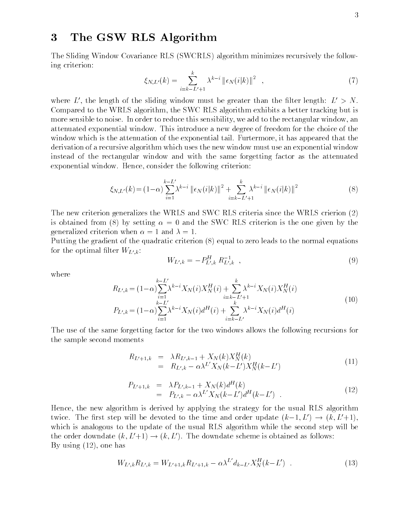#### 3 The GSW RLS Algorithm

The Sliding Window Covariance RLS (SWCRLS) algorithm minimizes recursively the following criterion:

$$
\xi_{N,L'}(k) = \sum_{i=k-L'+1}^{k} \lambda^{k-i} \left\| \epsilon_N(i|k) \right\|^2 \quad , \tag{7}
$$

where L', the length of the sliding window must be greater than the filter length:  $L' > N$ . Compared to the WRLS algorithm, the SWC RLS algorithm exhibits a better tracking but is more sensible to noise. In order to reduce this sensibility, we add to the rectangular window, an attenuated exponential window. This introduce a new degree of freedom for the choice of the window which is the attenuation of the exponential tail. Furtermore, it has appeared that the derivation of a recursive algorithm which uses the new window must use an exponential window instead of the rectangular window and with the same forgetting factor as the attenuated exponential window. Hence, consider the following criterion:

$$
\xi_{N,L'}(k) = (1-\alpha) \sum_{i=1}^{k-L'} \lambda^{k-i} \|\epsilon_N(i|k)\|^2 + \sum_{i=k-L'+1}^{k} \lambda^{k-i} \|\epsilon_N(i|k)\|^2
$$
 (8)

The new criterion generalizes the WRLS and SWC RLS criteria since the WRLS crierion (2) is obtained from (8) by setting  $\alpha = 0$  and the SWC RLS criterion is the one given by the generalized criterion when  $\alpha = 1$  and  $\lambda = 1$ .

Putting the gradient of the quadratic criterion (8) equal to zero leads to the normal equations for the optimal filter  $W_{L',k}$ :

$$
W_{L',k} = -P_{L',k}^H R_{L',k}^{-1} \t\t(9)
$$

where

$$
R_{L',k} = (1-\alpha) \sum_{i=1}^{k-L'} \lambda^{k-i} X_N(i) X_N^H(i) + \sum_{i=k-L'+1}^k \lambda^{k-i} X_N(i) X_N^H(i)
$$
  
\n
$$
P_{L',k} = (1-\alpha) \sum_{i=1}^{k-L'} \lambda^{k-i} X_N(i) d^H(i) + \sum_{i=k-L'}^{k} \lambda^{k-i} X_N(i) d^H(i)
$$
\n(10)

The use of the same forgetting factor for the two windows allows the following recursions for the sample second moments

$$
R_{L'+1,k} = \lambda R_{L',k-1} + X_N(k) X_N^H(k)
$$
  
=  $R_{L',k} - \alpha \lambda^{L'} X_N(k-L') X_N^H(k-L')$  (11)

$$
P_{L'+1,k} = \lambda P_{L',k-1} + X_N(k) d^{H}(k)
$$
  
=  $P_{L',k} - \alpha \lambda^{L'} X_N(k - L') d^{H}(k - L')$  (12)

Hence, the new algorithm is derived by applying the strategy for the usual RLS algorithm twice. The first step will be devoted to the time and order update  $(k-1, L') \rightarrow (k, L'+1)$ , which is analogous to the update of the usual RLS algorithm while the second step will be the order downdate  $(k, L'+1) \rightarrow (k, L')$ . The downdate scheme is obtained as follows: By using (12), one has

$$
W_{L',k}R_{L',k} = W_{L'+1,k}R_{L'+1,k} - \alpha \lambda^{L'} d_{k-L'} X_N^H(k-L') \quad . \tag{13}
$$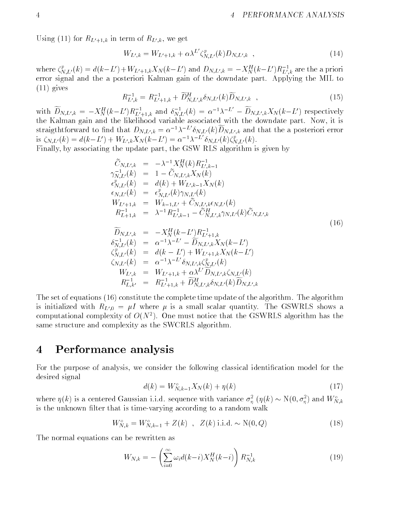Using (11) for  $R_{L'+1,k}$  in term of  $R_{L',k}$ , we get

$$
W_{L',k} = W_{L'+1,k} + \alpha \lambda^{L'} \zeta_{N,L'}^p(k) D_{N,L',k} \quad , \tag{14}
$$

where  $\zeta_{NL}^{\prime}(k) = d(k-L') + W_{L'+1,k}X_N(k-L')$  and  $D_{N,L',k} = -X_N^{L}(k-L')K_{L',k}$  are the a priori error signal and the a posteriori Kalman gain of the downdate part. Applying the MIL to (11) gives

$$
R_{L',k}^{-1} = R_{L'+1,k}^{-1} + \widetilde{D}_{N,L',k}^{H} \delta_{N,L'}(k) \widetilde{D}_{N,L',k} \quad , \tag{15}
$$

with  $D_{N,L',k} = -X_N^H(k-L')R_{L'+1,k}^{-1}$  and  $\delta_{N,L'}^{-1}(k) = \alpha^{-1}\lambda^{-L} - D_{N,L',k}X_N(k-L')$  respectively the Kalman gain and the likelihood variable associated with the downdate part. Now, it is straigthtforward to find that  $D_{N,L',k} = \alpha^{-1} \lambda^{-L} \delta_{N,L'}(k) D_{N,L',k}$  and that the a posteriori error<br>is  $\zeta_{N,L'}(k) = d(k-L') + W_{L',k} X_N(k-L') = \alpha^{-1} \lambda^{-L'} \delta_{N,L'}(k) \zeta_{N,L'}^p(k)$ .

Finally, by associating the update part, the GSW RLS algorithm is given by

$$
\tilde{C}_{N,L',k} = -\lambda^{-1} X_N^H(k) R_{L',k-1}^{-1} \n\gamma_{N,L'}^{-1}(k) = 1 - \tilde{C}_{N,L',k} X_N(k) \n\epsilon_{N,L'}^p(k) = d(k) + W_{L',k-1} X_N(k) \n\epsilon_{N,L'}(k) = \epsilon_{N,L'}^p(k) \gamma_{N,L'}(k) \nW_{L'+1,k} = W_{k-1,L'} + \tilde{C}_{N,L',k} \epsilon_{N,L'}(k) \nR_{L+1,k}^{-1} = \lambda^{-1} R_{L',k-1}^{-1} - \tilde{C}_{N,L',k}^H \gamma_{N,L'}(k) \tilde{C}_{N,L',k} \n\tilde{D}_{N,L',k} = -X_N^H(k-L') R_{L'+1,k}^{-1} \n\delta_{N,L'}^{-1}(k) = \alpha^{-1} \lambda^{-L'} - \tilde{D}_{N,L',k} X_N(k-L') \n\zeta_{N,L'}^p(k) = d(k-L') + W_{L'+1,k} X_N(k-L') \n\zeta_{N,L'}(k) = \alpha^{-1} \lambda^{-L'} \delta_{N,L',k} \zeta_{N,L'}^p(k) \nW_{L',k} = W_{L'+1,k} + \alpha \lambda^{L'} \tilde{D}_{N,L',k} \zeta_{N,L'}(k) \nR_{L,k'}^{-1} = R_{L'+1,k}^{-1} + \tilde{D}_{N,L',k}^H \delta_{N,L'}(k) \tilde{D}_{N,L',k}
$$
\n(8)

The set of equations (16) constitute the complete time update of the algorithm. The algorithm is initialized with  $R_{L<sub>0</sub>} = \mu I$  where  $\mu$  is a small scalar quantity. The GSWRLS shows a computational complexity of  $O(N^2)$ . One must notice that the GSWRLS algorithm has the same structure and complexity as the SWCRLS algorithm.

#### 4 Performance analysis

For the purpose of analysis, we consider the following classical identication model for the desired signal

$$
d(k) = W_{N,k-1}^o X_N(k) + \eta(k)
$$
\n(17)

where  $\eta(\kappa)$  is a centered Gaussian i.i.d. sequence with variance  $\sigma_n^-(\eta(\kappa) \sim N(0, \sigma_n^-)$  and  $W_{N,k}^$ is the unknown filter that is time-varying according to a random walk

$$
W_{N,k}^o = W_{N,k-1}^o + Z(k) \, , \, Z(k) \, \text{i.i.d.} \sim \mathcal{N}(0, Q) \tag{18}
$$

The normal equations can be rewritten as

$$
W_{N,k} = -\left(\sum_{i=0}^{\infty} \omega_i d(k-i) X_N^H(k-i)\right) R_{N,k}^{-1}
$$
 (19)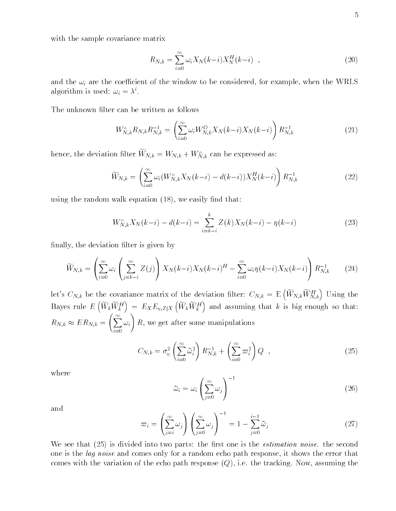with the sample covariance matrix

$$
R_{N,k} = \sum_{i=0}^{\infty} \omega_i X_N(k-i) X_N^H(k-i) , \qquad (20)
$$

and the  $\omega_i$  are the coefficient of the window to be considered, for example, when the WRLS algorithm is used:  $\omega_i = \lambda^i$ .

The unknown filter can be written as follows

$$
W_{N,k}^{\circ} R_{N,k} R_{N,k}^{-1} = \left(\sum_{i=0}^{\infty} \omega_i W_{N,k}^O X_N(k-i) X_N(k-i)\right) R_{N,k}^{-1}
$$
 (21)

hence, the deviation filter  $W_{N,k} = W_{N,k} + W_{N,k}$  can be expressed as:

$$
\widetilde{W}_{N,k} = \left(\sum_{i=0}^{\infty} \omega_i (W_{N,k}^{\circ} X_N(k-i) - d(k-i)) X_N^H(k-i)\right) R_{N,k}^{-1}
$$
\n(22)

using the random walk equation  $(18)$ , we easily find that:

$$
W_{N,k}^{\circ} X_N(k-i) - d(k-i) = \sum_{i=k-i}^{k} Z(k) X_N(k-i) - \eta(k-i)
$$
 (23)

finally, the deviation filter is given by

$$
\widetilde{W}_{N,k} = \left(\sum_{i=0}^{\infty} \omega_i \left(\sum_{j=k-i}^{\infty} Z(j)\right) X_N(k-i) X_N(k-i)^H - \sum_{i=0}^{\infty} \omega_i \eta(k-i) X_N(k-i)\right) R_{N,k}^{-1}
$$
 (24)

let's  $C_{N,k}$  be the covariance matrix of the deviation filter:  $C_{N,k} = \mathrm{E} \left( \widetilde{W}_{N,k} \widetilde{W}_{N,k}^H \right)$  Using the Bayes rule  $E\left(\widetilde{W}_k\widetilde{W}_k^H\right) = E_X E_{\eta, Z|X}\left(\widetilde{W}_k\widetilde{W}_k^H\right)$  and assuming that k is big enough so that:  $R_{N,k} \approx E R_{N,k} = \left\lfloor \right. \right. \left. \right\rfloor$  $\sqrt{\infty}$  \  $\omega_i$  R, we get after some manipulations

$$
C_{N,k} = \sigma_{\eta}^2 \left( \sum_{i=0}^{\infty} \tilde{\omega}_i^2 \right) R_{N,k}^{-1} + \left( \sum_{i=0}^{\infty} \varpi_i^2 \right) Q \quad , \tag{25}
$$

where

$$
\tilde{\omega}_i = \omega_i \left( \sum_{j=0}^{\infty} \omega_j \right)^{-1} \tag{26}
$$

and

$$
\varpi_i = \left(\sum_{j=i}^{\infty} \omega_j\right) \left(\sum_{j=0}^{\infty} \omega_j\right)^{-1} = 1 - \sum_{j=0}^{i-1} \tilde{\omega}_j \tag{27}
$$

We see that  $(25)$  is divided into two parts: the first one is the *estimation noise*, the second one is the *lag noise* and comes only for a random echo path response, it shows the error that comes with the variation of the echo path response  $(Q)$ , i.e. the tracking. Now, assuming the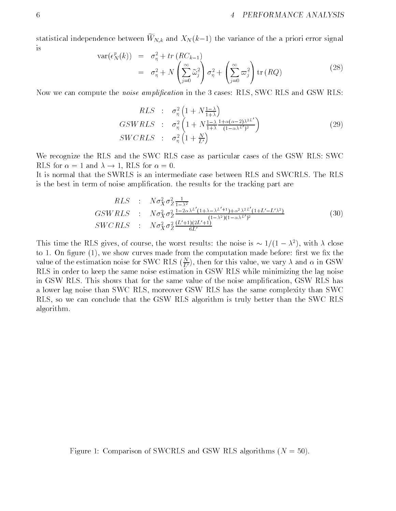statistical independence between  $W_{N,k}$  and  $\Delta N$ ( $k=1$ ) the variance of the a priori error signal is

$$
\operatorname{var}(\epsilon_N^p(k)) = \sigma_\eta^2 + tr(RC_{k-1})
$$
  
=  $\sigma_\eta^2 + N\left(\sum_{j=0}^\infty \tilde{\omega}_j^2\right) \sigma_\eta^2 + \left(\sum_{j=0}^\infty \varpi_j^2\right) \operatorname{tr}(RQ)$  (28)

Now we can compute the *noise amplification* in the 3 cases: RLS, SWC RLS and GSW RLS:

$$
RLS \; : \; \sigma_{\eta}^{2} \left( 1 + N \frac{1 - \lambda}{1 + \lambda} \right)
$$
\n
$$
GSWRLS \; : \; \sigma_{\eta}^{2} \left( 1 + N \frac{1 - \lambda}{1 + \lambda} \frac{1 + \alpha (\alpha - 2) \lambda^{2L'}}{(1 - \alpha \lambda^{L'})^{2}} \right)
$$
\n
$$
SWCRLS \; : \; \sigma_{\eta}^{2} \left( 1 + \frac{N}{L'} \right)
$$
\n
$$
(29)
$$

We recognize the RLS and the SWC RLS case as particular cases of the GSW RLS: SWC RLS for  $\alpha = 1$  and  $\lambda \rightarrow 1$ , RLS for  $\alpha = 0$ .

It is normal that the SWRLS is an intermediate case between RLS and SWCRLS. The RLS is the best in term of noise amplication. the results for the tracking part are

$$
RLS : N\sigma_X^2 \sigma_Z^2 \frac{1}{1-\lambda^2}
$$
  
\n
$$
GSWRLS : N\sigma_X^2 \sigma_Z^2 \frac{1-2\alpha\lambda^{L'}(1+\lambda-\lambda^{L'+1})+\alpha^2\lambda^{2L'}(1+L'-L'\lambda^2)}{(1-\lambda^2)(1-\alpha\lambda^{L'})^2}
$$
  
\n
$$
SWCRLS : N\sigma_X^2 \sigma_Z^2 \frac{(L'+1)(2L'+1)}{6L'}
$$
\n(30)

This time the RLS gives, of course, the worst results: the noise is  $\sim 1/(1 - \lambda^2)$ , with  $\lambda$  close to 1. On figure  $(1)$ , we show curves made from the computation made before: first we fix the value of the estimation noise for SWC RLS ( $\frac{1}{U}$ ), then for this value, we vary  $\lambda$  and  $\alpha$  in GSW RLS in order to keep the same noise estimation in GSW RLS while minimizing the lag noise in GSW RLS. This shows that for the same value of the noise amplication, GSW RLS has a lower lag noise than SWC RLS, moreover GSW RLS has the same complexity than SWC RLS, so we can conclude that the GSW RLS algorithm is truly better than the SWC RLS algorithm.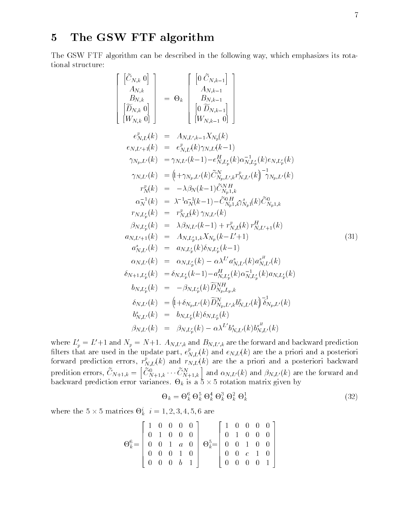### 5 The GSW FTF algorithm

The GSW FTF algorithm can be described in the following way, which emphasizes its rotational structure:

$$
\begin{bmatrix}\n\begin{bmatrix}\n\hat{C}_{N,k} & 0 \\
A_{N,k} \\
B_{N,k} \\
[\widetilde{D}_{N,k} & 0\n\end{bmatrix}\n\end{bmatrix} = \Theta_k \begin{bmatrix}\n0 & \tilde{C}_{N,k-1} \\
A_{N,k-1} \\
[\widetilde{D}_{N,k} & 0\n\end{bmatrix} \\
e_{N,L}^p(k) = A_{N,L',k-1}X_{N_p}(k) \\
e_{N,L'+1}(k) = e_{N,L'}^p(k)\gamma_{N,L}(k-1) \\
\gamma_{N_p,L'}(k) = \gamma_{N,L'}(k-1) - e_{N,L_p'}^H(k)\alpha_{N,L_p'}^{-1}(k)e_{N,L_p'}(k) \\
\gamma_{N,L'}(k) = \left(1 + \gamma_{N_p,L'}(k)\widetilde{C}_{N_p,L,k}^N r_{N,L'}^p(k)\right)^{-1} \gamma_{N_p,L'}(k) \\
r_N^p(k) = -\lambda\beta_N(k-1)\widetilde{C}_{N_p,L,k}^N r_{N,L'}^p(k)^{-1} \gamma_{N_p,L'}(k) \\
\alpha_N^{-1}(k) = \lambda^{-1}\alpha_N^{-1}(k-1) - \widetilde{C}_{N_p1,k}^N \gamma_{N_p1}^s(k)\widetilde{C}_{N_p1,k}^0 \\
r_{N,L_p'}(k) = r_{N,L}^p(k)\gamma_{N,L'}(k) \\
\beta_{N,L_p'}(k) = \lambda\beta_{N,L'}(k-1) + r_{N,L}^p(k)r_{N,L'+1}^H(k) \\
a_{N,L'+1}(k) = A_{N,L_p'}(k)\gamma_{N,L_p'}(k-1) \\
a_{N,L'}^*(k) = a_{N,L_p'}(k)\delta_{N,L_p'}(k-1) \\
\alpha_{N,L'}(k) = a_{N,L_p'}(k) - \alpha\lambda^{L'} a_{N,L'}^s(k)a_{N,L_p'}^H(k) \\
\delta_{N+1,L_p'}(k) = \delta_{N,L_p'}(k) - \alpha\lambda^{L'} a_{N,L'}^s(k)a_{N,L_p'}^H(k) \\
b_{N,L_p'}(k) = -\beta_{N,L_p'}(k)\widetilde{D}_{N_p,L_p,k}^N \\
\delta_{N,L'}(k) = \begin{bmatrix}\n\delta_{N,L_p'}(k) & \delta_{N,p,L'}(k)\delta_{N,p'}^H(k) \\
\delta_{N,R_p'}(k) & \delta_{N,R_p'}(k) & \delta_{N,R_p'}(k)\n\end{bmatrix
$$

where  $L'_p = L'+1$  and  $N_p = N+1$ .  $A_{N,L',k}$  and  $B_{N,L',k}$  are the forward and backward prediction filters that are used in the update part,  $e^{\kappa}_{N,L}(k)$  and  $e_{N,L}(k)$  are the a priori and a posteriori forward prediction errors,  $r_{NL}^r(k)$  and  $r_{N,L^r}(k)$  are the a priori and a posteriori backward predition errors,  $\cup N+1,k = \square \cup N$ .  $\left[ \tilde{C}_{N+1,k}^0 \cdots \tilde{C}_{N+1,k}^N \right]$  and  $\alpha_{N,L'}(k)$  and  $\beta_{N,L'}(k)$  are the forward and backward prediction error variances.  $\Theta_k$  is a 5  $\times$  5 rotation matrix given by

$$
\Theta_k = \Theta_k^6 \ \Theta_k^5 \ \Theta_k^4 \ \Theta_k^3 \ \Theta_k^2 \ \Theta_k^1 \tag{32}
$$

where the 5  $\times$  5 matrices  $\Theta_k^*$   $i=1,2,3,4,5,6$  are

$$
\Theta_k^6 = \left[\begin{array}{cccc|c} 1 & 0 & 0 & 0 & 0 \\ 0 & 1 & 0 & 0 & 0 \\ 0 & 0 & 1 & a & 0 \\ 0 & 0 & 0 & 1 & 0 \\ 0 & 0 & 0 & b & 1 \end{array}\right] \quad \Theta_k^5 = \left[\begin{array}{cccc|c} 1 & 0 & 0 & 0 & 0 \\ 0 & 1 & 0 & 0 & 0 \\ 0 & 0 & 1 & 0 & 0 \\ 0 & 0 & c & 1 & 0 \\ 0 & 0 & 0 & 0 & 1 \end{array}\right]
$$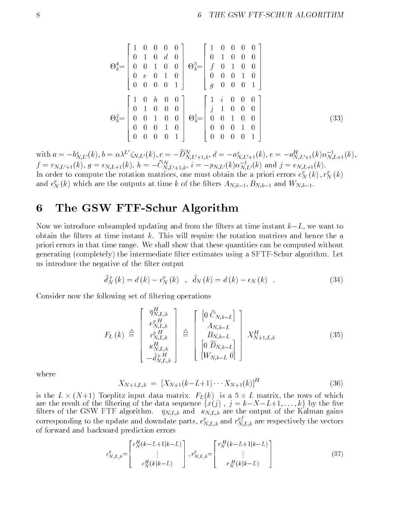$$
\Theta_{k}^{4} = \begin{bmatrix} 1 & 0 & 0 & 0 & 0 \\ 0 & 1 & 0 & d & 0 \\ 0 & 0 & 1 & 0 & 0 \\ 0 & e & 0 & 1 & 0 \\ 0 & 0 & 0 & 0 & 1 \end{bmatrix} \quad \Theta_{k}^{3} = \begin{bmatrix} 1 & 0 & 0 & 0 & 0 \\ 0 & 1 & 0 & 0 & 0 \\ f & 0 & 1 & 0 & 0 \\ 0 & 0 & 0 & 1 & 0 \\ g & 0 & 0 & 0 & 1 \end{bmatrix}
$$

$$
\Theta_{k}^{2} = \begin{bmatrix} 1 & 0 & h & 0 & 0 \\ 0 & 1 & 0 & 0 & 0 \\ 0 & 0 & 1 & 0 & 0 \\ 0 & 0 & 0 & 1 & 0 \\ 0 & 0 & 0 & 0 & 1 \end{bmatrix} \quad \Theta_{k}^{1} = \begin{bmatrix} 1 & i & 0 & 0 & 0 \\ j & 1 & 0 & 0 & 0 \\ 0 & 0 & 1 & 0 & 0 \\ 0 & 0 & 0 & 1 & 0 \\ 0 & 0 & 0 & 0 & 1 \end{bmatrix}
$$
(33)

with  $a = -b_{N,L'}^s(k)$ ,  $b = \alpha \lambda^L \zeta_{N,L'}(k)$ ,  $c = -D_{N,L'+1,k}^{\infty}$ ,  $d = -a_{N,L'+1}^s(k)$ ,  $e = -a_{N,L'+1}^R(k) \alpha_{N,L+1}^{-1}(k)$ ,  $f = r_{N,L'+1}(k)$ ,  $g = \epsilon_{N,L+1}(k)$ ,  $h = -C_{N,L'+1,k}$ ,  $i = -p_{N,L'}(k)\alpha_{N,L'}(k)$  and  $j = \epsilon_{N,L+1}(k)$ . In order to compute the rotation matrices, one must obtain the a priori errors  $e_N^r(k)$  ,  $r_N^r(k)$ and  $\epsilon_N^r$  (k) which are the outputs at time k of the filters  $A_{N,k-1},$   $B_{N,k-1}$  and  $W_{N,k-1}.$ 

#### The GSW FTF-Schur Algorithm

Now we introduce subsampled updating and from the filters at time instant  $k-L$ , we want to obtain the filters at time instant  $k$ . This will require the rotation matrices and hence the a priori errors in that time range. We shall show that these quantities can be computed without generating (completely) the intermediate lter estimates using a SFTF-Schur algorithm. Let us introduce the negative of the filter output

$$
\hat{d}_{N}^{p}(k) = d(k) - \epsilon_{N}^{p}(k) \quad , \quad \hat{d}_{N}(k) = d(k) - \epsilon_{N}(k) \quad . \tag{34}
$$

Consider now the following set of ltering operations

 $\overline{r}$ 

$$
F_L(k) \triangleq \begin{bmatrix} \eta_{N,L,k}^H \\ e_{N,L,k}^p \\ r_{N,L,k}^p \\ \kappa_{N,L,k}^H \\ -\hat{d}_{N,L,k}^p \end{bmatrix} \triangleq \begin{bmatrix} \left[0 \ \tilde{C}_{N,k-L} \right] \\ A_{N,k-L} \\ B_{N,k-L} \\ B_{N,k-L} \\ \left[0 \ \tilde{D}_{N,k-L} \right] \end{bmatrix} X_{N+1,L,k}^H
$$
(35)

where

$$
X_{N+1,L,k} = [X_{N+1}(k-L+1)\cdots X_{N+1}(k)]^H
$$
\n(36)

is the  $L \times (N+1)$  Toeplitz input data matrix.  $F_L(k)$  is a 5  $\times$  L matrix, the rows of which are the result of the filtering of the data sequence  $\{\hat{x}(j), j = k-N-L+1,\ldots,k\}$  by the five filters of the GSW FTF algorithm.  $\eta_{N,L,k}$  and  $\kappa_{N,L,k}$  are the output of the Kalman gains corresponding to the update and downdate parts,  $e^r_{N,L,k}$  and  $r^{rs}_{N,L,k}$  are respectively the vectors of forward and backward prediction errors

$$
e_{N,L,k}^{p} = \begin{bmatrix} e_{N}^{H}(k-L+1|k-L) \\ \vdots \\ e_{N}^{H}(k|k-L) \end{bmatrix}, r_{N,L,k}^{p} = \begin{bmatrix} r_{N}^{H}(k-L+1|k-L) \\ \vdots \\ r_{N}^{H}(k|k-L) \end{bmatrix}
$$
(37)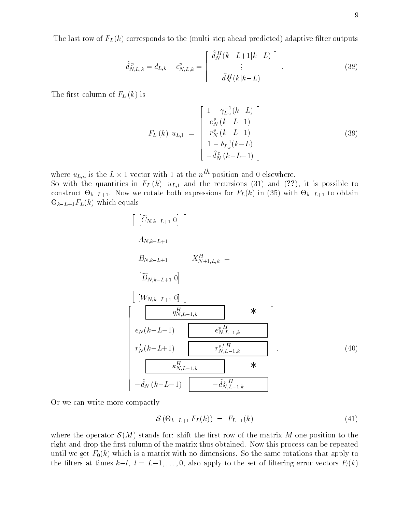$$
\hat{d}_{N,L,k}^p = d_{L,k} - \epsilon_{N,L,k}^p = \begin{bmatrix} \hat{d}_N^H(k-L+1|k-L) \\ \vdots \\ \hat{d}_N^H(k|k-L) \end{bmatrix} . \tag{38}
$$

The first column of  $F_L(k)$  is

$$
F_L(k) \ u_{L,1} = \begin{bmatrix} 1 - \gamma_{L_{\omega}}^{-1}(k-L) \\ e_N^p(k-L+1) \\ r_N^p(k-L+1) \\ 1 - \delta_{L_{\omega}}^{-1}(k-L) \\ -\hat{d}_N^p(k-L+1) \end{bmatrix}
$$
 (39)

where  $u_{L,n}$  is the  $L \times 1$  vector with 1 at the  $n^{m}$  position and 0 elsewhere.

So with the quantities in  $F_L(k)$  u<sub>L1</sub> and the recursions (31) and (??), it is possible to construct -  $\kappa$  - with - to obtain the form of the form for  $\kappa$  -  $\kappa$  (35)  $\kappa$  -  $\kappa$  -  $\kappa$  -  $\kappa$  -  $\kappa$  -  $\kappa$  -  $\kappa$  -  $\kappa$  -  $\kappa$  -  $\kappa$  -  $\kappa$  -  $\kappa$  -  $\kappa$  -  $\kappa$  -  $\kappa$  -  $\kappa$  -  $\kappa$  -  $\kappa$  $k = k$  which exists which exists a set of  $k$ 

$$
\begin{bmatrix}\n\begin{bmatrix}\n\tilde{C}_{N,k-L+1} & 0\n\end{bmatrix} \\
A_{N,k-L+1} \\
B_{N,k-L+1} & X_{N+1,L,k}^H = \n\begin{bmatrix}\n\tilde{D}_{N,k-L+1} & 0\n\end{bmatrix} \\
\begin{bmatrix}\nW_{N,k-L+1} & 0\n\end{bmatrix} \\
\begin{bmatrix}\nW_{N,k-L+1} & 0\n\end{bmatrix} \\
\epsilon_N(k-L+1) & \epsilon_{N,L-1,k}^{pH} \\
r_N^f(k-L+1) & r_{N,L-1,k}^{pfH} \\
\frac{\kappa_{N,L-1,k}^H}{\sqrt{N_{N,L-1,k}}} & \frac{\kappa_{N,L-1,k}^H}{\sqrt{N_{N,L-1,k}}} \\
-\hat{d}_N(k-L+1) & -\hat{d}_{N,L-1,k}^p\n\end{bmatrix}.
$$
\n(40)

Or we can write more compactly

$$
\mathcal{S}\left(\Theta_{k-L+1} F_L(k)\right) = F_{L-1}(k) \tag{41}
$$

where the operator  $\mathcal{S}(M)$  stands for: shift the first row of the matrix M one position to the right and drop the first column of the matrix thus obtained. Now this process can be repeated until we get  $F_0(k)$  which is a matrix with no dimensions. So the same rotations that apply to the filters at times  $k-l$ ,  $l = L-1, \ldots, 0$ , also apply to the set of filtering error vectors  $F_l(k)$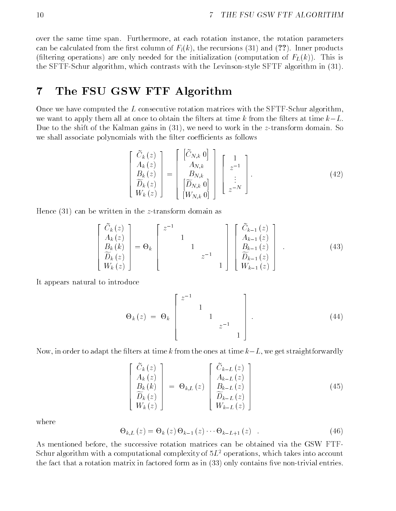over the same time span. Furthermore, at each rotation instance, the rotation parameters can be calculated from the first column of  $F_l(k)$ , the recursions (31) and (??). Inner products (filtering operations) are only needed for the initialization (computation of  $F<sub>L</sub>(k)$ ). This is the SFTF-Schur algorithm, which contrasts with the Levinson-style SFTF algorithm in (31).

### The FSU GSW FTF Algorithm

Once we have computed the  $L$  consecutive rotation matrices with the SFTF-Schur algorithm, we want to apply them all at once to obtain the filters at time k from the filters at time  $k-L$ . Due to the shift of the Kalman gains in  $(31)$ , we need to work in the z-transform domain. So we shall associate polynomials with the filter coefficients as follows

$$
\begin{bmatrix}\n\widetilde{C}_k(z) \\
A_k(z) \\
B_k(z) \\
\widetilde{D}_k(z) \\
W_k(z)\n\end{bmatrix} = \begin{bmatrix}\n\widetilde{C}_{N,k} & 0 \\
A_{N,k} \\
B_{N,k} \\
\widetilde{D}_{N,k} & 0 \\
W_{N,k} & 0\n\end{bmatrix} \begin{bmatrix}\n1 \\
z^{-1} \\
\vdots \\
z^{-N}\n\end{bmatrix}.
$$
\n(42)

Hence  $(31)$  can be written in the *z*-transform domain as

$$
\begin{bmatrix}\n\widetilde{C}_k(z) \\
A_k(z) \\
B_k(k) \\
\widetilde{D}_k(z) \\
W_k(z)\n\end{bmatrix} = \Theta_k\n\begin{bmatrix}\nz^{-1} \\
1 \\
1 \\
z^{-1} \\
1\n\end{bmatrix}\n\begin{bmatrix}\n\widetilde{C}_{k-1}(z) \\
A_{k-1}(z) \\
B_{k-1}(z) \\
\widetilde{D}_{k-1}(z) \\
W_{k-1}(z)\n\end{bmatrix}.
$$
\n(43)

It appears natural to introduce

$$
\Theta_k(z) = \Theta_k \begin{bmatrix} z^{-1} & & & \\ & 1 & & \\ & & 1 & \\ & & & z^{-1} \\ & & & & 1 \end{bmatrix} . \tag{44}
$$

Now, in order to adapt the filters at time k from the ones at time  $k-L$ , we get straightforwardly

$$
\begin{bmatrix}\n\widetilde{C}_k(z) \\
A_k(z) \\
B_k(k) \\
\widetilde{D}_k(z) \\
W_k(z)\n\end{bmatrix} = \Theta_{k,L}(z) \begin{bmatrix}\n\widetilde{C}_{k-L}(z) \\
A_{k-L}(z) \\
B_{k-L}(z) \\
\widetilde{D}_{k-L}(z) \\
W_{k-L}(z)\n\end{bmatrix}
$$
\n(45)

where

$$
\Theta_{k,L}(z) = \Theta_k(z) \Theta_{k-1}(z) \cdots \Theta_{k-L+1}(z) . \qquad (46)
$$

As mentioned before, the successive rotation matrices can be obtained via the GSW FTF-Schur algorithm with a computational complexity of  $5L^2$  operations, which takes into account the fact that a rotation matrix in factored form as in (33) only contains five non-trivial entries.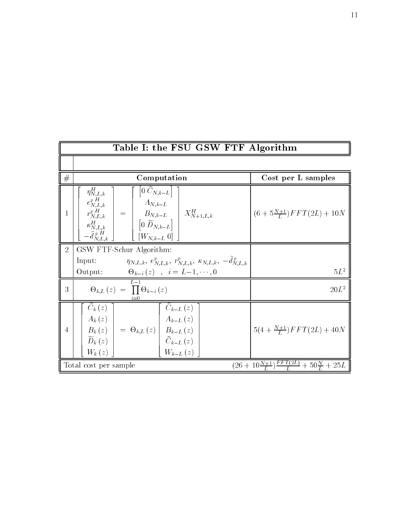| Table I: the FSU GSW FTF Algorithm |                                                                                                                                                                                                                                                                                                                                        |                                                           |
|------------------------------------|----------------------------------------------------------------------------------------------------------------------------------------------------------------------------------------------------------------------------------------------------------------------------------------------------------------------------------------|-----------------------------------------------------------|
|                                    |                                                                                                                                                                                                                                                                                                                                        |                                                           |
| #                                  | Computation                                                                                                                                                                                                                                                                                                                            | Cost per L samples                                        |
| 1                                  | $\eta_{N,L,k}^H$<br>$ 0 \ C_{N,k-L} $<br>$\begin{bmatrix} e_{N,L,k}^{p\,H}\ e_{N,L,k}^{p\,H}\ \kappa_{N,L,k}^{H}\ -\hat{d}_{N,L,k}^{p\,H} \end{bmatrix} \;=\; \begin{bmatrix} A_{N,k-L}\ B_{N,k-L}\ 0\ \widetilde{D}_{N,k-L} \end{bmatrix} \; \begin{bmatrix} X_{N+1,L,k}^{H}\ X_{N+1,L,k}^{H}\ -\hat{d}_{N,L,k}^{p\,H} \end{bmatrix}$ | $(6+5\frac{N+1}{L})FFT(2L) + 10N$                         |
| $\overline{2}$                     | GSW FTF-Schur Algorithm:                                                                                                                                                                                                                                                                                                               |                                                           |
|                                    | $\eta_{N,L,k}, e_{N,L,k}^p, r_{N,L,k}^p, \kappa_{N,L,k}, -\hat{d}_{N,L,k}^p$<br>Input:                                                                                                                                                                                                                                                 |                                                           |
|                                    | Output:<br>$\Theta_{k-i}(z)$ , $i = L-1, \cdots, 0$                                                                                                                                                                                                                                                                                    | $5L^2$                                                    |
| 3                                  | $\Theta_{k,L}(z) = \prod \Theta_{k-i}(z)$                                                                                                                                                                                                                                                                                              | $20L^2$                                                   |
| $\overline{4}$                     | $C_k(z)$<br>$C_{k-L}(z)$<br>$A_k(z)$ $A_{k-L}(z)$<br>$B_k(z)$ = $\Theta_{k,L}(z)$ $B_{k-L}(z)$<br>$\widetilde{C}_{k-L}(z)$<br>$\widetilde{D}_k(z)$<br>$W_{k-L}(z)$<br>$W_k(z)$                                                                                                                                                         | $5(4+\frac{N+1}{l})FFT(2L) + 40N$                         |
|                                    | Total cost per sample                                                                                                                                                                                                                                                                                                                  | $(26+10\frac{N+1}{L})\frac{FFT(2L)}{L}+50\frac{N}{L}+25L$ |

11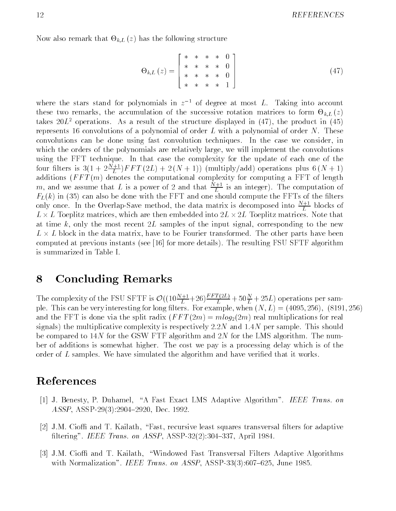$\mathcal{L}$  . The following that  $\mathcal{L}$  also the following structure structure structure structure structure structure structure structure structure structure structure structure structure structure structure structure str

$$
\Theta_{k,L}(z) = \begin{bmatrix} * & * & * & * & 0 \\ * & * & * & * & 0 \\ * & * & * & * & 0 \\ * & * & * & * & 1 \end{bmatrix}
$$
 (47)

where the stars stand for polynomials in  $z^{-1}$  of degree at most L. Taking into account these two remarks, the accumulation of the successive rotation matrices to form  $\mathbb{R}$ ; L  $\mathbb{R}$ takes  $20L^2$  operations. As a result of the structure displayed in (47), the product in (45) represents 16 convolutions of a polynomial of order  $L$  with a polynomial of order  $N$ . These convolutions can be done using fast convolution techniques. In the case we consider, in which the orders of the polynomials are relatively large, we will implement the convolutions using the FFT technique. In that case the complexity for the update of each one of the four filters is  $3(1 + 2\frac{m+1}{L})$   $F T (2L) + 2(N+1)$  (multiply/add) operations plus  $6(N+1)$ additions  $(FFT(m)$  denotes the computational complexity for computing a FFT of length m, and we assume that L is a power of 2 and that  $\frac{L}{L}$  is an integer). The computation of  $F_L(k)$  in (35) can also be done with the FFT and one should compute the FFTs of the filters only once. In the Overlap-Save method, the data matrix is decomposed into  $\frac{N}{L}$  blocks of  $L \times L$  Toeplitz matrices, which are then embedded into  $2L \times 2L$  Toeplitz matrices. Note that at time k, only the most recent  $2L$  samples of the input signal, corresponding to the new  $L \times L$  block in the data matrix, have to be Fourier transformed. The other parts have been computed at previous instants (see [16] for more details). The resulting FSU SFTF algorithm is summarized in Table I.

#### 8 Concluding Remarks

The complexity of the FSU SFTF is  $\mathcal{O}((10\frac{N+1}{L}+26)\frac{FFL[2L]}{L}+50\frac{N}{L}+25L)$  operations per sample. This can be very interesting for long lters. For example, when (N; L) = (4095; 256); (8191; 256) and the FFT is done via the split radix  $(FFT(2m) = mlog_2(2m)$  real multiplications for real signals) the multiplicative complexity is respectively 2:2N and 1:4N per sample. This should be compared to  $14N$  for the GSW FTF algorithm and  $2N$  for the LMS algorithm. The number of additions is somewhat higher. The cost we pay is a processing delay which is of the order of L samples. We have simulated the algorithm and have verified that it works.

#### References

- [1] J. Benesty, P. Duhamel, \A Fast Exact LMS Adaptive Algorithm". IEEE Trans. on ASSP, ASSP-29(3):2904-2920, Dec. 1992.
- [2] J.M. Cioffi and T. Kailath, "Fast, recursive least squares transversal filters for adaptive filtering". IEEE Trans. on ASSP, ASSP-32 $(2)$ :304-337, April 1984.
- [3] J.M. Cioffi and T. Kailath, "Windowed Fast Transversal Filters Adaptive Algorithms with Normalization". IEEE Trans. on ASSP, ASSP-33(3):607-625, June 1985.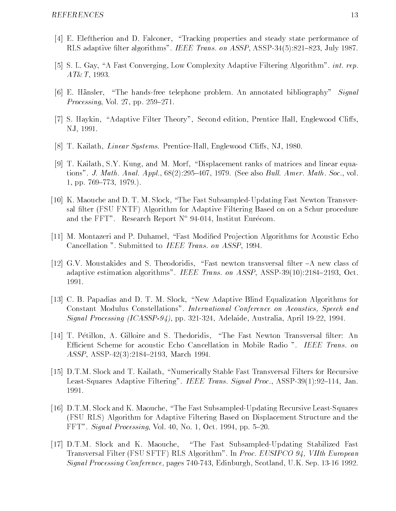- [4] E. Eleftheriou and D. Falconer, "Tracking properties and steady state performance of RLS adaptive filter algorithms". IEEE Trans. on ASSP, ASSP-34(5):821–823, July 1987.
- [5] S. L. Gay, "A Fast Converging, Low Complexity Adaptive Filtering Algorithm". *int. rep.*  $AT\&T$ , 1993.
- [6] E. Hänsler, "The hands-free telephone problem. An annotated bibliography" Signal Processing, Vol. 27, pp.  $259-271$ .
- [7] S. Haykin, "Adaptive Filter Theory", Second edition, Prentice Hall, Englewood Cliffs, NJ, 1991.
- [8] T. Kailath, *Linear Systems*. Prentice-Hall, Englewood Cliffs, NJ, 1980.
- [9] T. Kailath, S.Y. Kung, and M. Morf, "Displacement ranks of matrices and linear equations". J. Math. Anal. Appl.,  $68(2):295{-}407$ , 1979. (See also Bull. Amer. Math. Soc., vol. 1, pp.  $769-773$ , 1979.).
- [10] K. Maouche and D. T. M. Slock, \The Fast Subsampled-Updating Fast Newton Transversal filter (FSU FNTF) Algorithm for Adaptive Filtering Based on on a Schur procedure and the FFT". Research Report  $N^{\circ}$  94-014, Institut Eurécom.
- [11] M. Montazeri and P. Duhamel, "Fast Modified Projection Algorithms for Acoustic Echo Cancellation ". Submitted to IEEE Trans. on ASSP, 1994.
- [12] G.V. Moustakides and S. Theodoridis, "Fast newton transversal filter  $-A$  new class of adaptive estimation algorithms". IEEE Trans. on  $ASSP$ ,  $ASSP-39(10):2184-2193$ , Oct. 1991.
- [13] C. B. Papadias and D. T. M. Slock, "New Adaptive Blind Equalization Algorithms for Constant Modulus Constellations". International Conference on Acoustics, Speech and Signal Processing (ICASSP-94), pp. 321-324, Adelaide, Australia, April 19-22, 1994.
- [14] T. Pétillon, A. Gilloire and S. Thedoridis, "The Fast Newton Transversal filter: An Efficient Scheme for acoustic Echo Cancellation in Mobile Radio ". IEEE Trans. on ASSP, ASSP-42(3):2184-2193, March 1994.
- [15] D.T.M. Slock and T. Kailath, "Numerically Stable Fast Transversal Filters for Recursive Least-Squares Adaptive Filtering". IEEE Trans. Signal Proc., ASSP-39(1):92–114, Jan. 1991.
- [16] D.T.M. Slock and K. Maouche, "The Fast Subsampled-Updating Recursive Least-Squares (FSU RLS) Algorithm for Adaptive Filtering Based on Displacement Structure and the  $FFT"$ . *Signal Processing*, Vol. 40, No. 1, Oct. 1994, pp. 5–20.
- [17] D.T.M. Slock and K. Maouche, \The Fast Subsampled-Updating Stabilized Fast Transversal Filter (FSU SFTF) RLS Algorithm". In Proc. EUSIPCO 94, VIIth European Signal Processing Conference, pages 740-743, Edinburgh, Scotland, U.K. Sep. 13-16 1992.